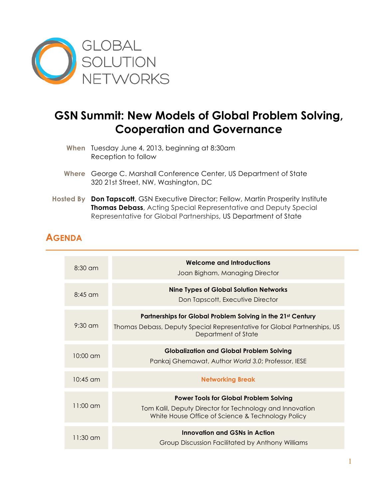

## **GSN Summit: New Models of Global Problem Solving, Cooperation and Governance**

- **When** Tuesday June 4, 2013, beginning at 8:30am Reception to follow
- **Where** George C. Marshall Conference Center, US Department of State 320 21st Street, NW, Washington, DC
- **Hosted By Don Tapscott**, GSN Executive Director; Fellow, Martin Prosperity Institute **Thomas Debass**, Acting Special Representative and Deputy Special Representative for Global Partnerships, US Department of State

## **AGENDA**

| $8:30$ am          | <b>Welcome and Introductions</b><br>Joan Bigham, Managing Director                                                                                             |
|--------------------|----------------------------------------------------------------------------------------------------------------------------------------------------------------|
| $8:45 \text{ cm}$  | <b>Nine Types of Global Solution Networks</b><br>Don Tapscott, Executive Director                                                                              |
| $9:30 \text{ cm}$  | Partnerships for Global Problem Solving in the 21st Century<br>Thomas Debass, Deputy Special Representative for Global Partnerships, US<br>Department of State |
| $10:00 \text{ cm}$ | <b>Globalization and Global Problem Solving</b><br>Pankaj Ghemawat, Author World 3.0; Professor, IESE                                                          |
| $10:45$ am         | <b>Networking Break</b>                                                                                                                                        |
| $11:00 \text{ cm}$ | <b>Power Tools for Global Problem Solving</b><br>Tom Kalil, Deputy Director for Technology and Innovation<br>White House Office of Science & Technology Policy |
| $11:30$ am         | Innovation and GSNs in Action<br>Group Discussion Facilitated by Anthony Williams                                                                              |